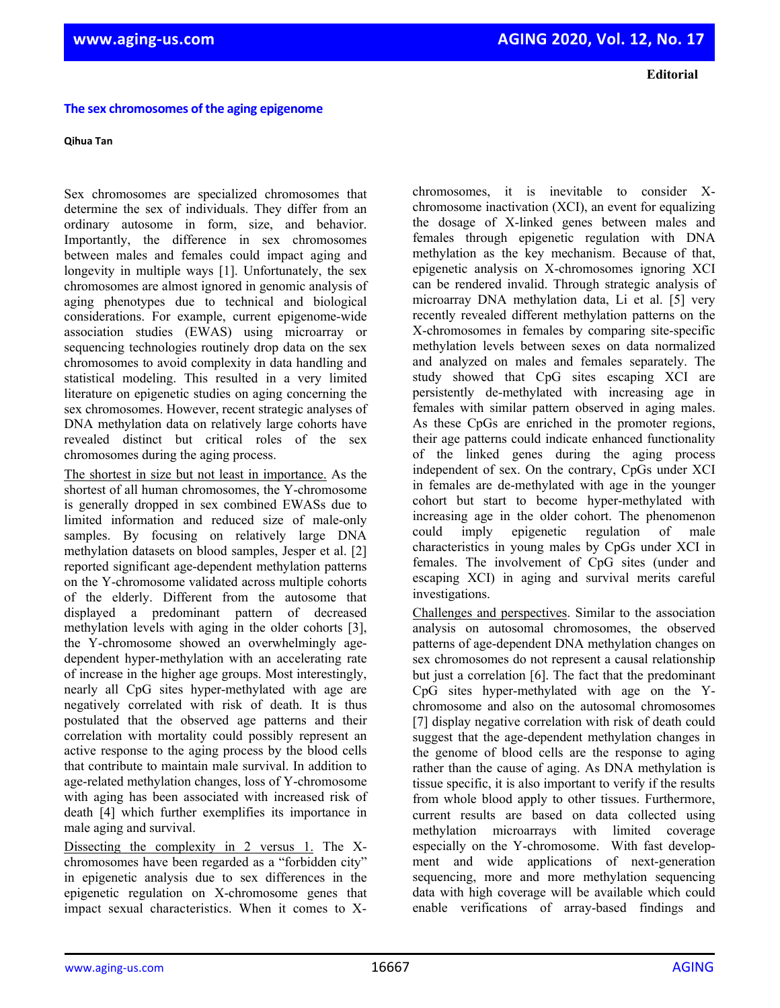**Editorial**

#### **The sex chromosomes of the aging epigenome**

#### **Qihua Tan**

Sex chromosomes are specialized chromosomes that determine the sex of individuals. They differ from an ordinary autosome in form, size, and behavior. Importantly, the difference in sex chromosomes between males and females could impact aging and longevity in multiple ways [1]. Unfortunately, the sex chromosomes are almost ignored in genomic analysis of aging phenotypes due to technical and biological considerations. For example, current epigenome-wide association studies (EWAS) using microarray or sequencing technologies routinely drop data on the sex chromosomes to avoid complexity in data handling and statistical modeling. This resulted in a very limited literature on epigenetic studies on aging concerning the sex chromosomes. However, recent strategic analyses of DNA methylation data on relatively large cohorts have revealed distinct but critical roles of the sex chromosomes during the aging process.

The shortest in size but not least in importance. As the shortest of all human chromosomes, the Y-chromosome is generally dropped in sex combined EWASs due to limited information and reduced size of male-only samples. By focusing on relatively large DNA methylation datasets on blood samples, Jesper et al. [2] reported significant age-dependent methylation patterns on the Y-chromosome validated across multiple cohorts of the elderly. Different from the autosome that displayed a predominant pattern of decreased methylation levels with aging in the older cohorts [3], the Y-chromosome showed an overwhelmingly agedependent hyper-methylation with an accelerating rate of increase in the higher age groups. Most interestingly, nearly all CpG sites hyper-methylated with age are negatively correlated with risk of death. It is thus postulated that the observed age patterns and their correlation with mortality could possibly represent an active response to the aging process by the blood cells that contribute to maintain male survival. In addition to age-related methylation changes, loss of Y-chromosome with aging has been associated with increased risk of death [4] which further exemplifies its importance in male aging and survival.

Dissecting the complexity in 2 versus 1. The Xchromosomes have been regarded as a "forbidden city" in epigenetic analysis due to sex differences in the epigenetic regulation on X-chromosome genes that impact sexual characteristics. When it comes to X-

chromosomes, it is inevitable to consider Xchromosome inactivation (XCI), an event for equalizing the dosage of X-linked genes between males and females through epigenetic regulation with DNA methylation as the key mechanism. Because of that, epigenetic analysis on X-chromosomes ignoring XCI can be rendered invalid. Through strategic analysis of microarray DNA methylation data, Li et al. [5] very recently revealed different methylation patterns on the X-chromosomes in females by comparing site-specific methylation levels between sexes on data normalized and analyzed on males and females separately. The study showed that CpG sites escaping XCI are persistently de-methylated with increasing age in females with similar pattern observed in aging males. As these CpGs are enriched in the promoter regions, their age patterns could indicate enhanced functionality of the linked genes during the aging process independent of sex. On the contrary, CpGs under XCI in females are de-methylated with age in the younger cohort but start to become hyper-methylated with increasing age in the older cohort. The phenomenon could imply epigenetic regulation of male characteristics in young males by CpGs under XCI in females. The involvement of CpG sites (under and escaping XCI) in aging and survival merits careful investigations.

Challenges and perspectives. Similar to the association analysis on autosomal chromosomes, the observed patterns of age-dependent DNA methylation changes on sex chromosomes do not represent a causal relationship but just a correlation [6]. The fact that the predominant CpG sites hyper-methylated with age on the Ychromosome and also on the autosomal chromosomes [7] display negative correlation with risk of death could suggest that the age-dependent methylation changes in the genome of blood cells are the response to aging rather than the cause of aging. As DNA methylation is tissue specific, it is also important to verify if the results from whole blood apply to other tissues. Furthermore, current results are based on data collected using methylation microarrays with limited coverage especially on the Y-chromosome. With fast development and wide applications of next-generation sequencing, more and more methylation sequencing data with high coverage will be available which could enable verifications of array-based findings and